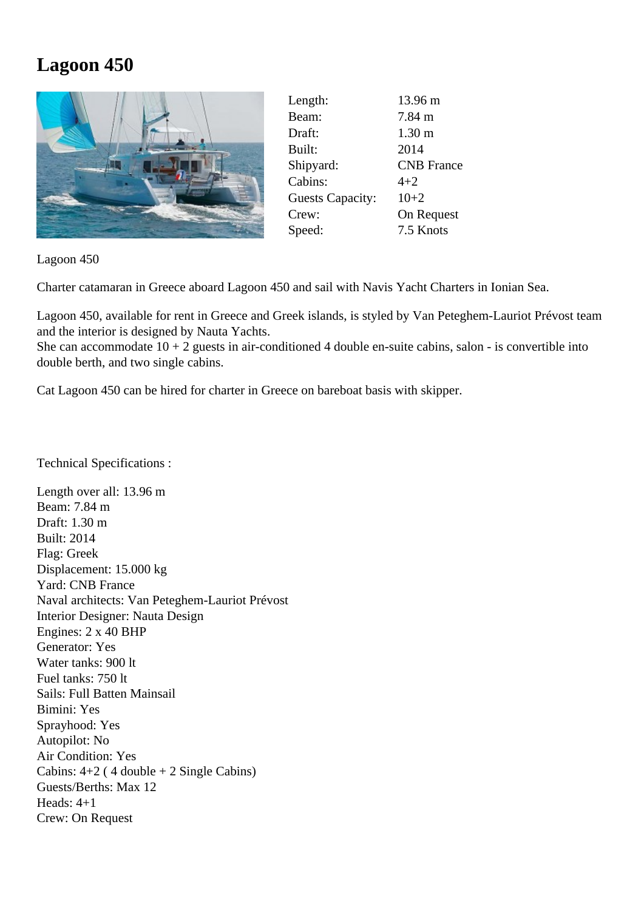## **Lagoon 450**



| Length:                 | 13.96 m           |
|-------------------------|-------------------|
| Beam:                   | $7.84 \text{ m}$  |
| Draft:                  | 1.30 <sub>m</sub> |
| Built:                  | 2014              |
| Shipyard:               | <b>CNB</b> France |
| Cabins:                 | $4 + 2$           |
| <b>Guests Capacity:</b> | $10+2$            |
| Crew:                   | On Request        |
| Speed:                  | 7.5 Knots         |
|                         |                   |

Lagoon 450

Charter catamaran in Greece aboard Lagoon 450 and sail with Navis Yacht Charters in Ionian Sea.

Lagoon 450, available for rent in Greece and Greek islands, is styled by Van Peteghem-Lauriot Prévost team and the interior is designed by Nauta Yachts.

She can accommodate  $10 + 2$  guests in air-conditioned 4 double en-suite cabins, salon - is convertible into double berth, and two single cabins.

Cat Lagoon 450 can be hired for charter in Greece on bareboat basis with skipper.

Technical Specifications :

Length over all: 13.96 m Beam: 7.84 m Draft: 1.30 m Built: 2014 Flag: Greek Displacement: 15.000 kg Yard: CNB France Naval architects: Van Peteghem-Lauriot Prévost Interior Designer: Nauta Design Engines: 2 x 40 BHP Generator: Yes Water tanks: 900 lt Fuel tanks: 750 lt Sails: Full Batten Mainsail Bimini: Yes Sprayhood: Yes Autopilot: No Air Condition: Yes Cabins:  $4+2$  (4 double  $+2$  Single Cabins) Guests/Berths: Max 12 Heads: 4+1 Crew: On Request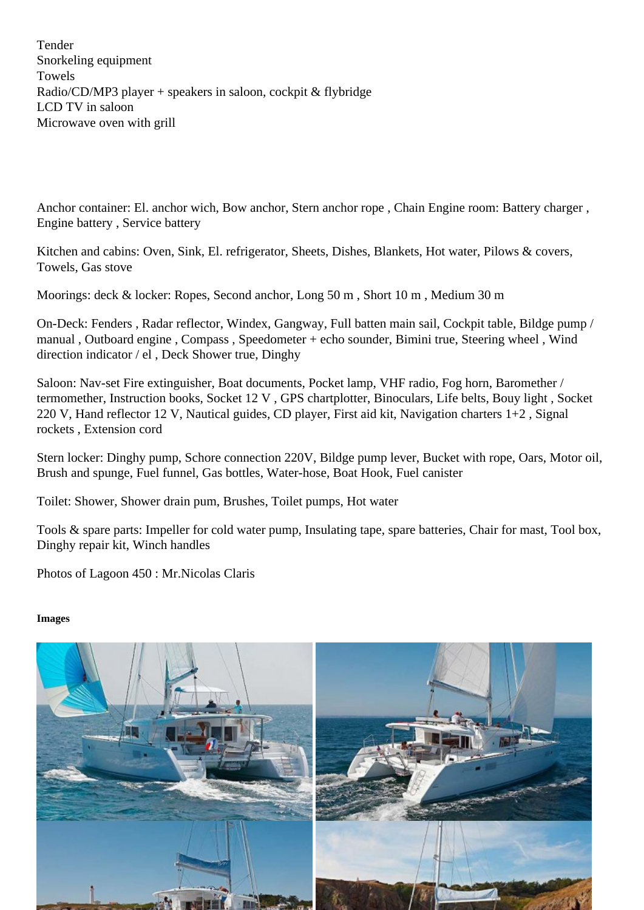Anchor container: El. anchor wich, Bow anchor, Stern anchor rope , Chain Engine room: Battery charger , Engine battery , Service battery

Kitchen and cabins: Oven, Sink, El. refrigerator, Sheets, Dishes, Blankets, Hot water, Pilows & covers, Towels, Gas stove

Moorings: deck & locker: Ropes, Second anchor, Long 50 m , Short 10 m , Medium 30 m

On-Deck: Fenders , Radar reflector, Windex, Gangway, Full batten main sail, Cockpit table, Bildge pump / manual , Outboard engine , Compass , Speedometer + echo sounder, Bimini true, Steering wheel , Wind direction indicator / el , Deck Shower true, Dinghy

Saloon: Nav-set Fire extinguisher, Boat documents, Pocket lamp, VHF radio, Fog horn, Baromether / termomether, Instruction books, Socket 12 V , GPS chartplotter, Binoculars, Life belts, Bouy light , Socket 220 V, Hand reflector 12 V, Nautical guides, CD player, First aid kit, Navigation charters 1+2 , Signal rockets , Extension cord

Stern locker: Dinghy pump, Schore connection 220V, Bildge pump lever, Bucket with rope, Oars, iMotor Brush and spunge, Fuel funnel, Gas bottles, Water-hose, Boat Hook, Fuel canister

Toilet: Shower, Shower drain pum, Brushes, Toilet pumps, Hot water

Tools & spare parts: Impeller for cold water pump, Insulating tape, spare batteries, Chair for mastx, Tool Dinghy repair kit, Winch handles

Photos of Lagoon 450 : Mr.Nicolas Claris

Images